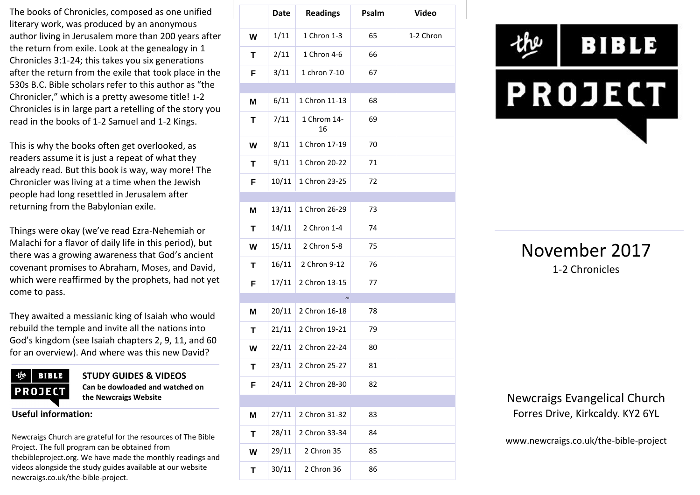The books of Chronicles, composed as one unified literary work, was produced by an anonymous author living in Jerusalem more than 200 years after the return from exile. Look at the genealogy in 1 Chronicles 3:1-24; this takes you six generations after the return from the exile that took place in the 530s B.C. Bible scholars refer to this author as "the Chronicler," which is a pretty awesome title! 1-2 Chronicles is in large part a retelling of the story you read in the books of 1-2 Samuel and 1-2 Kings.

This is why the books often get overlooked, as readers assume it is just a repeat of what they already read. But this book is way, way more! The Chronicler was living at a time when the Jewish people had long resettled in Jerusalem after returning from the Babylonian exile.

Things were okay (we've read Ezra-Nehemiah or Malachi for a flavor of daily life in this period), but there was a growing awareness that God's ancient covenant promises to Abraham, Moses, and David, which were reaffirmed by the prophets, had not yet come to pass.

They awaited a messianic king of Isaiah who would rebuild the temple and invite all the nations into God's kingdom (see Isaiah chapters 2, 9, 11, and 60 for an overview). And where was this new David?



**STUDY GUIDES & VIDEOS Can be dowloaded and watched on the Newcraigs Website**

**Useful information:**

Newcraigs Church are grateful for the resources of The Bible Project. The full program can be obtained from thebibleproject.org. We have made the monthly readings and videos alongside the study guides available at our website newcraigs.co.uk/the-bible-project.

|   | <b>Date</b> | <b>Readings</b>   | Psalm | <b>Video</b> |
|---|-------------|-------------------|-------|--------------|
| W | 1/11        | 1 Chron 1-3       | 65    | 1-2 Chron    |
| T | 2/11        | 1 Chron 4-6       | 66    |              |
| F | 3/11        | 1 chron 7-10      | 67    |              |
|   |             |                   |       |              |
| M | 6/11        | 1 Chron 11-13     | 68    |              |
| T | 7/11        | 1 Chrom 14-<br>16 | 69    |              |
| W | 8/11        | 1 Chron 17-19     | 70    |              |
| Т | 9/11        | 1 Chron 20-22     | 71    |              |
| F | 10/11       | 1 Chron 23-25     | 72    |              |
|   |             |                   |       |              |
| M | 13/11       | 1 Chron 26-29     | 73    |              |
| T | 14/11       | 2 Chron 1-4       | 74    |              |
| W | 15/11       | 2 Chron 5-8       | 75    |              |
| Т | 16/11       | 2 Chron 9-12      | 76    |              |
| F | 17/11       | 2 Chron 13-15     | 77    |              |
|   |             | 78                |       |              |
| M | 20/11       | 2 Chron 16-18     | 78    |              |
| Τ | 21/11       | 2 Chron 19-21     | 79    |              |
| W | 22/11       | 2 Chron 22-24     | 80    |              |
| Т | 23/11       | 2 Chron 25-27     | 81    |              |
| F | 24/11       | 2 Chron 28-30     | 82    |              |
|   |             |                   |       |              |
| M | 27/11       | 2 Chron 31-32     | 83    |              |
| T | 28/11       | 2 Chron 33-34     | 84    |              |
| W | 29/11       | 2 Chron 35        | 85    |              |
| Τ | 30/11       | 2 Chron 36        | 86    |              |



### November 2017 1-2 Chronicles

Newcraigs Evangelical Church Forres Drive, Kirkcaldy. KY2 6YL

www.newcraigs.co.uk/the-bible-project